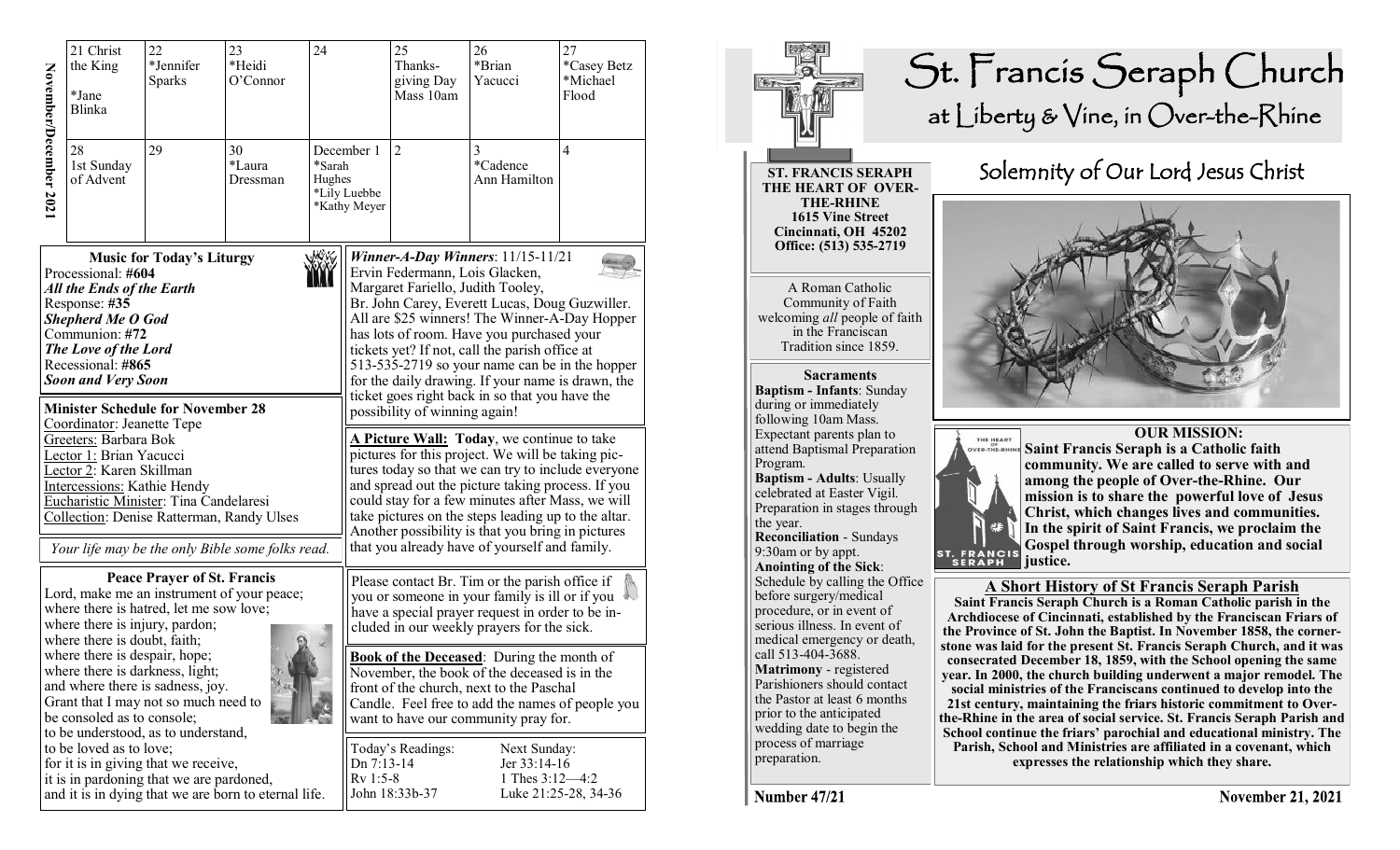| November/December 2021                                                                                                                                                                                                                                                                                                                                                                                                                                                                                                                                                                    | 21 Christ<br>the King<br>*Jane<br><b>Blinka</b><br>28<br>1st Sunday<br>of Advent | 22<br>*Jennifer<br><b>Sparks</b><br>29 | 23<br>*Heidi<br>O'Connor<br>30<br>*Laura<br>Dressman | 24<br>*Sarah<br>Hughes | December 1<br>*Lily Luebbe<br>*Kathy Meyer | 25<br>Thanks-<br>giving Day<br>Mass 10am<br>$\overline{2}$                                                                                                                                                                                                                                                                                                                                                                                                                                                                                                                                                                                                                                                                                                                                                                                                                                                                            | 26<br>*Brian<br>Yacucci<br>3<br>*Cadence<br>Ann Hamilton | 27<br>*Casey Betz<br>*Michael<br>Flood<br>$\overline{4}$ |  |
|-------------------------------------------------------------------------------------------------------------------------------------------------------------------------------------------------------------------------------------------------------------------------------------------------------------------------------------------------------------------------------------------------------------------------------------------------------------------------------------------------------------------------------------------------------------------------------------------|----------------------------------------------------------------------------------|----------------------------------------|------------------------------------------------------|------------------------|--------------------------------------------|---------------------------------------------------------------------------------------------------------------------------------------------------------------------------------------------------------------------------------------------------------------------------------------------------------------------------------------------------------------------------------------------------------------------------------------------------------------------------------------------------------------------------------------------------------------------------------------------------------------------------------------------------------------------------------------------------------------------------------------------------------------------------------------------------------------------------------------------------------------------------------------------------------------------------------------|----------------------------------------------------------|----------------------------------------------------------|--|
| <b>Music for Today's Liturgy</b><br>Processional: #604<br>All the Ends of the Earth<br>Response: #35<br><b>Shepherd Me O God</b><br>Communion: #72<br>The Love of the Lord<br>Recessional: #865<br><b>Soon and Very Soon</b><br><b>Minister Schedule for November 28</b><br>Coordinator: Jeanette Tepe<br>Greeters: Barbara Bok<br>Lector 1: Brian Yacucci<br>Lector 2: Karen Skillman<br>Intercessions: Kathie Hendy<br>Eucharistic Minister: Tina Candelaresi<br>Collection: Denise Ratterman, Randy Ulses                                                                              |                                                                                  |                                        |                                                      |                        |                                            | Winner-A-Day Winners: $11/15-11/21$<br>Ervin Federmann, Lois Glacken,<br>Margaret Fariello, Judith Tooley,<br>Br. John Carey, Everett Lucas, Doug Guzwiller.<br>All are \$25 winners! The Winner-A-Day Hopper<br>has lots of room. Have you purchased your<br>tickets yet? If not, call the parish office at<br>513-535-2719 so your name can be in the hopper<br>for the daily drawing. If your name is drawn, the<br>ticket goes right back in so that you have the<br>possibility of winning again!<br>A Picture Wall: Today, we continue to take<br>pictures for this project. We will be taking pic-<br>tures today so that we can try to include everyone<br>and spread out the picture taking process. If you<br>could stay for a few minutes after Mass, we will<br>take pictures on the steps leading up to the altar.<br>Another possibility is that you bring in pictures<br>that you already have of yourself and family. |                                                          |                                                          |  |
| <b>Peace Prayer of St. Francis</b><br>Lord, make me an instrument of your peace;<br>where there is hatred, let me sow love;<br>where there is injury, pardon;<br>where there is doubt, faith;<br>where there is despair, hope;<br>where there is darkness, light;<br>and where there is sadness, joy.<br>Grant that I may not so much need to<br>be consoled as to console;<br>to be understood, as to understand,<br>to be loved as to love;<br>for it is in giving that we receive,<br>it is in pardoning that we are pardoned,<br>and it is in dying that we are born to eternal life. |                                                                                  |                                        |                                                      |                        |                                            | Please contact Br. Tim or the parish office if<br>you or someone in your family is ill or if you<br>have a special prayer request in order to be in-<br>cluded in our weekly prayers for the sick.<br><b>Book of the Deceased:</b> During the month of<br>November, the book of the deceased is in the<br>front of the church, next to the Paschal<br>Candle. Feel free to add the names of people you<br>want to have our community pray for.<br>Today's Readings:<br>Next Sunday:<br>Jer 33:14-16<br>Dn 7:13-14<br>$Rv 1:5-8$<br>1 Thes 3:12-4:2<br>John 18:33b-37<br>Luke 21:25-28, 34-36                                                                                                                                                                                                                                                                                                                                          |                                                          |                                                          |  |



Number 47/21

**November 21, 2021**